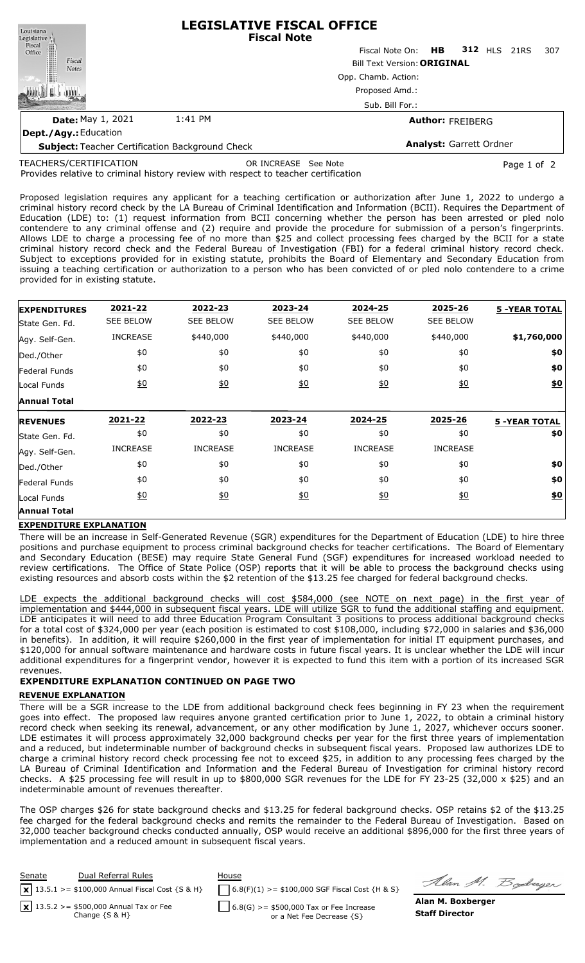| Louisiana                                              | <b>LEGISLATIVE FISCAL OFFICE</b><br><b>Fiscal Note</b>    |                                 |  |  |  |     |  |  |
|--------------------------------------------------------|-----------------------------------------------------------|---------------------------------|--|--|--|-----|--|--|
| Legislative<br>Fiscal<br>Office                        |                                                           | Fiscal Note On: HB 312 HLS 21RS |  |  |  | 307 |  |  |
| Fiscal<br><b>Notes</b>                                 | <b>Bill Text Version: ORIGINAL</b><br>Opp. Chamb. Action: |                                 |  |  |  |     |  |  |
|                                                        |                                                           |                                 |  |  |  |     |  |  |
|                                                        |                                                           |                                 |  |  |  |     |  |  |
| <b>Date: May 1, 2021</b>                               | 1:41 PM                                                   | <b>Author: FREIBERG</b>         |  |  |  |     |  |  |
| Dept./Agy.: Education                                  |                                                           |                                 |  |  |  |     |  |  |
| <b>Subject: Teacher Certification Background Check</b> |                                                           | <b>Analyst: Garrett Ordner</b>  |  |  |  |     |  |  |

TEACHERS/CERTIFICATION

OR INCREASE See Note **Page 1 of 2** 

Provides relative to criminal history review with respect to teacher certification

Proposed legislation requires any applicant for a teaching certification or authorization after June 1, 2022 to undergo a criminal history record check by the LA Bureau of Criminal Identification and Information (BCII). Requires the Department of Education (LDE) to: (1) request information from BCII concerning whether the person has been arrested or pled nolo contendere to any criminal offense and (2) require and provide the procedure for submission of a person's fingerprints. Allows LDE to charge a processing fee of no more than \$25 and collect processing fees charged by the BCII for a state criminal history record check and the Federal Bureau of Investigation (FBI) for a federal criminal history record check. Subject to exceptions provided for in existing statute, prohibits the Board of Elementary and Secondary Education from issuing a teaching certification or authorization to a person who has been convicted of or pled nolo contendere to a crime provided for in existing statute.

| <b>EXPENDITURES</b>  | 2021-22          | 2022-23          | 2023-24          | 2024-25          | 2025-26          | <b>5 -YEAR TOTAL</b> |
|----------------------|------------------|------------------|------------------|------------------|------------------|----------------------|
| State Gen. Fd.       | <b>SEE BELOW</b> | <b>SEE BELOW</b> | <b>SEE BELOW</b> | <b>SEE BELOW</b> | <b>SEE BELOW</b> |                      |
| Agy. Self-Gen.       | <b>INCREASE</b>  | \$440,000        | \$440,000        | \$440,000        | \$440,000        | \$1,760,000          |
| Ded./Other           | \$0              | \$0              | \$0              | \$0              | \$0              | \$0                  |
| Federal Funds        | \$0              | \$0              | \$0              | \$0              | \$0              | \$0                  |
| Local Funds          | 60               | 60               | 60               | 60               | $\underline{50}$ | $\underline{\$0}$    |
| <b>Annual Total</b>  |                  |                  |                  |                  |                  |                      |
| <b>REVENUES</b>      | 2021-22          | 2022-23          | 2023-24          | 2024-25          | 2025-26          | <b>5 -YEAR TOTAL</b> |
|                      |                  |                  |                  |                  |                  |                      |
| State Gen. Fd.       | \$0              | \$0              | \$0              | \$0              | \$0              | \$0                  |
| Agy. Self-Gen.       | <b>INCREASE</b>  | <b>INCREASE</b>  | <b>INCREASE</b>  | <b>INCREASE</b>  | <b>INCREASE</b>  |                      |
| Ded./Other           | \$0              | \$0              | \$0              | \$0              | \$0              | \$0                  |
| <b>Federal Funds</b> | \$0              | \$0              | \$0              | \$0              | \$0              | \$0                  |
| Local Funds          | $\underline{50}$ | $\underline{50}$ | <u>\$0</u>       | $\underline{40}$ | $\underline{40}$ | \$0                  |

## **EXPENDITURE EXPLANATION**

There will be an increase in Self-Generated Revenue (SGR) expenditures for the Department of Education (LDE) to hire three positions and purchase equipment to process criminal background checks for teacher certifications. The Board of Elementary and Secondary Education (BESE) may require State General Fund (SGF) expenditures for increased workload needed to review certifications. The Office of State Police (OSP) reports that it will be able to process the background checks using existing resources and absorb costs within the \$2 retention of the \$13.25 fee charged for federal background checks.

LDE expects the additional background checks will cost \$584,000 (see NOTE on next page) in the first year of implementation and \$444,000 in subsequent fiscal years. LDE will utilize SGR to fund the additional staffing and equipment. LDE anticipates it will need to add three Education Program Consultant 3 positions to process additional background checks for a total cost of \$324,000 per year (each position is estimated to cost \$108,000, including \$72,000 in salaries and \$36,000 in benefits). In addition, it will require \$260,000 in the first year of implementation for initial IT equipment purchases, and \$120,000 for annual software maintenance and hardware costs in future fiscal years. It is unclear whether the LDE will incur additional expenditures for a fingerprint vendor, however it is expected to fund this item with a portion of its increased SGR revenues.

# **EXPENDITURE EXPLANATION CONTINUED ON PAGE TWO**

## **REVENUE EXPLANATION**

There will be a SGR increase to the LDE from additional background check fees beginning in FY 23 when the requirement goes into effect. The proposed law requires anyone granted certification prior to June 1, 2022, to obtain a criminal history record check when seeking its renewal, advancement, or any other modification by June 1, 2027, whichever occurs sooner. LDE estimates it will process approximately 32,000 background checks per year for the first three years of implementation and a reduced, but indeterminable number of background checks in subsequent fiscal years. Proposed law authorizes LDE to charge a criminal history record check processing fee not to exceed \$25, in addition to any processing fees charged by the LA Bureau of Criminal Identification and Information and the Federal Bureau of Investigation for criminal history record checks. A \$25 processing fee will result in up to \$800,000 SGR revenues for the LDE for FY 23-25 (32,000 x \$25) and an indeterminable amount of revenues thereafter.

The OSP charges \$26 for state background checks and \$13.25 for federal background checks. OSP retains \$2 of the \$13.25 fee charged for the federal background checks and remits the remainder to the Federal Bureau of Investigation. Based on 32,000 teacher background checks conducted annually, OSP would receive an additional \$896,000 for the first three years of implementation and a reduced amount in subsequent fiscal years.

| Senate | Dual Referral Rules<br>$\sqrt{13.5.1}$ >= \$100,000 Annual Fiscal Cost {S & H} | House<br>$6.8(F)(1)$ >= \$100,000 SGF Fiscal Cost {H & S} | Alan 1                |
|--------|--------------------------------------------------------------------------------|-----------------------------------------------------------|-----------------------|
|        | $\sqrt{2}$ 13.5.2 >= \$500,000 Annual Tax or Fee                               | $6.8(G)$ >= \$500,000 Tax or Fee Increase                 | Alan M. Boxbe         |
|        | Change $\{S \& H\}$                                                            | or a Net Fee Decrease {S}                                 | <b>Staff Director</b> |

Al. *Boderger*<br>**erger**